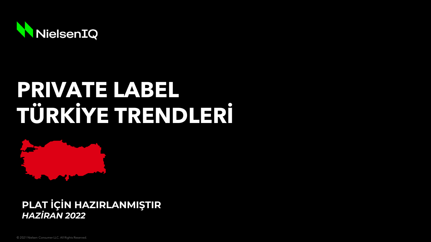

# **PRIVATE LABEL TÜRKİYE TRENDLERİ**



**PLAT İÇİN HAZIRLANMIŞTIR** *HAZİRAN 2022*

© 2021 Nielsen Consumer LLC. All Rights Reserved.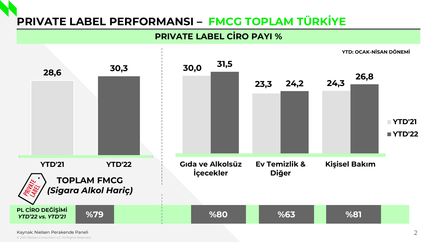## **PRIVATE LABEL PERFORMANSI – FMCG TOPLAM TÜRKİYE**

#### **PRIVATE LABEL CİRO PAYI %**



Kaynak: Nielsen Perakende Paneli

© 2021 Nielsen Consumer LLC. All Rights Reserved.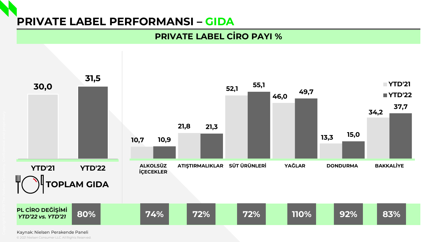## **PRIVATE LABEL PERFORMANSI – GIDA**

### **PRIVATE LABEL CİRO PAYI %**



Kaynak: Nielsen Perakende Paneli

© 2021 Nielsen Consumer LLC. All Rights Reserved.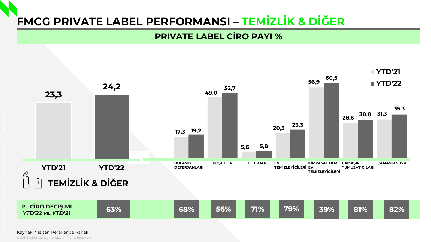## **FMCG PRIVATE LABEL PERFORMANSI – TEMİZLİK & DİĞER**

#### **PRIVATE LABEL CİRO PAYI %**



© 2021 Nielsen Consumer LLC. All Rights Reserved. Kaynak: Nielsen Perakende Paneli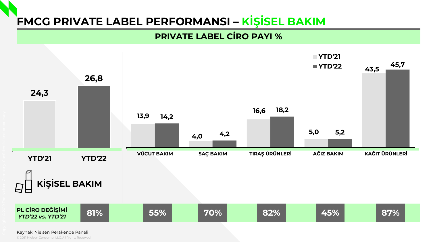## **FMCG PRIVATE LABEL PERFORMANSI – KİŞİSEL BAKIM**

#### **PRIVATE LABEL CIRO PAYI %**



© 2021 Nielsen Consumer LLC. All Rights Reserved. Kaynak: Nielsen Perakende Paneli